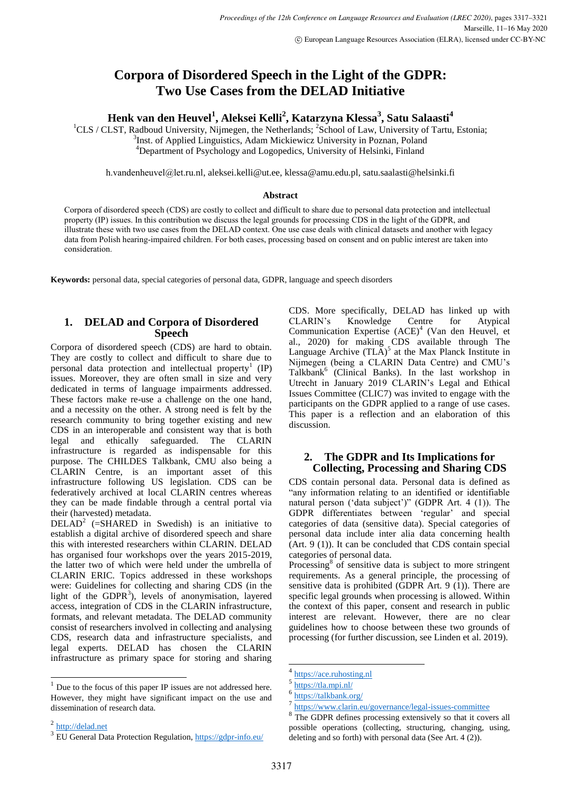# **Corpora of Disordered Speech in the Light of the GDPR: Two Use Cases from the DELAD Initiative**

**Henk van den Heuvel<sup>1</sup> , Aleksei Kelli<sup>2</sup> , Katarzyna Klessa<sup>3</sup> , Satu Salaasti<sup>4</sup>**

<sup>1</sup>CLS / CLST, Radboud University, Nijmegen, the Netherlands; <sup>2</sup>School of Law, University of Tartu, Estonia; <sup>3</sup>Inst. of Applied Linguistics, Adam Mickiewicz University in Poznan, Poland <sup>4</sup>Department of Psychology and Logopedics, University of Helsinki, Finland

[h.vandenheuvel@let.ru.nl](mailto:h.vandenheuvel@let.ru.nl), [aleksei.kelli@ut.ee,](mailto:aleksei.kelli@ut.ee) [klessa@amu.edu.pl,](mailto:klessa@amu.edu.pl) satu.saalasti@helsinki.fi

#### **Abstract**

Corpora of disordered speech (CDS) are costly to collect and difficult to share due to personal data protection and intellectual property (IP) issues. In this contribution we discuss the legal grounds for processing CDS in the light of the GDPR, and illustrate these with two use cases from the DELAD context. One use case deals with clinical datasets and another with legacy data from Polish hearing-impaired children. For both cases, processing based on consent and on public interest are taken into consideration.

**Keywords:** personal data, special categories of personal data, GDPR, language and speech disorders

## **1. DELAD and Corpora of Disordered Speech**

Corpora of disordered speech (CDS) are hard to obtain. They are costly to collect and difficult to share due to personal data protection and intellectual property<sup>1</sup> (IP) issues. Moreover, they are often small in size and very dedicated in terms of language impairments addressed. These factors make re-use a challenge on the one hand, and a necessity on the other. A strong need is felt by the research community to bring together existing and new CDS in an interoperable and consistent way that is both legal and ethically safeguarded. The CLARIN infrastructure is regarded as indispensable for this purpose. The CHILDES Talkbank, CMU also being a CLARIN Centre, is an important asset of this infrastructure following US legislation. CDS can be federatively archived at local CLARIN centres whereas they can be made findable through a central portal via their (harvested) metadata.

DELAD<sup>2</sup> (=SHARED in Swedish) is an initiative to establish a digital archive of disordered speech and share this with interested researchers within CLARIN. DELAD has organised four workshops over the years 2015-2019, the latter two of which were held under the umbrella of CLARIN ERIC. Topics addressed in these workshops were: Guidelines for collecting and sharing CDS (in the light of the GDPR<sup>3</sup>), levels of anonymisation, layered access, integration of CDS in the CLARIN infrastructure, formats, and relevant metadata. The DELAD community consist of researchers involved in collecting and analysing CDS, research data and infrastructure specialists, and legal experts. DELAD has chosen the CLARIN infrastructure as primary space for storing and sharing

l

<sup>2</sup> [http://delad.net](http://delad.net/)

CDS. More specifically, DELAD has linked up with CLARIN's Knowledge Centre for Atypical Communication Expertise (ACE)<sup>4</sup> (Van den Heuvel, et al., 2020) for making CDS available through The Language Archive  $(TLA)^5$  at the Max Planck Institute in Nijmegen (being a CLARIN Data Centre) and CMU's Talkbank<sup>6</sup> (Clinical Banks). In the last workshop in Utrecht in January 2019 CLARIN's Legal and Ethical Issues Committee (CLIC7) was invited to engage with the participants on the GDPR applied to a range of use cases. This paper is a reflection and an elaboration of this discussion.

### **2. The GDPR and Its Implications for Collecting, Processing and Sharing CDS**

CDS contain personal data. Personal data is defined as "any information relating to an identified or identifiable natural person ('data subject')" (GDPR Art. 4 (1)). The GDPR differentiates between 'regular' and special categories of data (sensitive data). Special categories of personal data include inter alia data concerning health (Art. 9 (1)). It can be concluded that CDS contain special categories of personal data.

Processing<sup>8</sup> of sensitive data is subject to more stringent requirements. As a general principle, the processing of sensitive data is prohibited (GDPR Art. 9 (1)). There are specific legal grounds when processing is allowed. Within the context of this paper, consent and research in public interest are relevant. However, there are no clear guidelines how to choose between these two grounds of processing (for further discussion, see Linden et al. 2019).

 $1$  Due to the focus of this paper IP issues are not addressed here. However, they might have significant impact on the use and dissemination of research data.

<sup>-&</sup>lt;br>4 [https://ace.ruhosting.nl](https://ace.ruhosting.nl/)

<sup>5</sup> <https://tla.mpi.nl/>

 $\frac{6 \text{ https://talkbank.org/}}{7 \text{ https://www. claim.com}}$  $\frac{6 \text{ https://talkbank.org/}}{7 \text{ https://www. claim.com}}$  $\frac{6 \text{ https://talkbank.org/}}{7 \text{ https://www. claim.com}}$ 

<https://www.clarin.eu/governance/legal-issues-committee>

<sup>8</sup> The GDPR defines processing extensively so that it covers all possible operations (collecting, structuring, changing, using, deleting and so forth) with personal data (See Art. 4 (2)).

<sup>&</sup>lt;sup>3</sup> EU General Data Protection Regulation,<https://gdpr-info.eu/>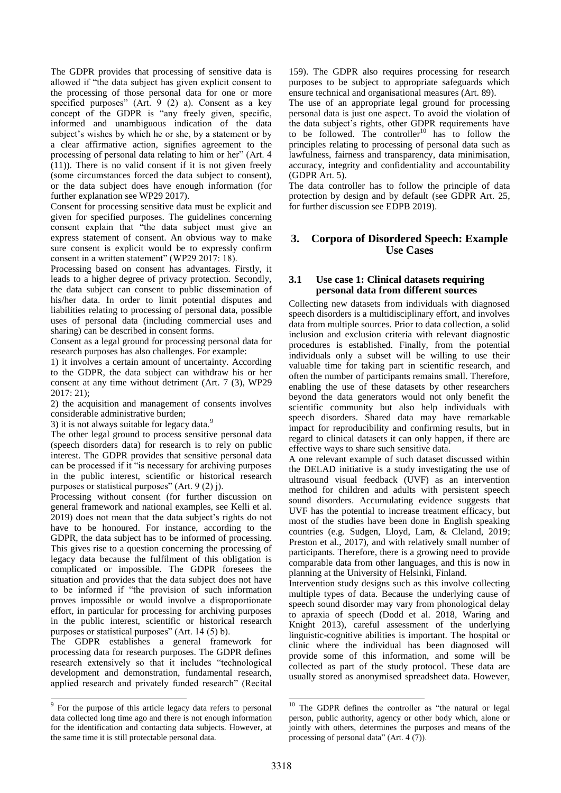The GDPR provides that processing of sensitive data is allowed if "the data subject has given explicit consent to the processing of those personal data for one or more specified purposes" (Art. 9 (2) a). Consent as a key concept of the GDPR is "any freely given, specific, informed and unambiguous indication of the data subject's wishes by which he or she, by a statement or by a clear affirmative action, signifies agreement to the processing of personal data relating to him or her" (Art. 4 (11)). There is no valid consent if it is not given freely (some circumstances forced the data subject to consent), or the data subject does have enough information (for further explanation see WP29 2017).

Consent for processing sensitive data must be explicit and given for specified purposes. The guidelines concerning consent explain that "the data subject must give an express statement of consent. An obvious way to make sure consent is explicit would be to expressly confirm consent in a written statement" (WP29 2017: 18).

Processing based on consent has advantages. Firstly, it leads to a higher degree of privacy protection. Secondly, the data subject can consent to public dissemination of his/her data. In order to limit potential disputes and liabilities relating to processing of personal data, possible uses of personal data (including commercial uses and sharing) can be described in consent forms.

Consent as a legal ground for processing personal data for research purposes has also challenges. For example:

1) it involves a certain amount of uncertainty. According to the GDPR, the data subject can withdraw his or her consent at any time without detriment (Art. 7 (3), WP29 2017: 21);

2) the acquisition and management of consents involves considerable administrative burden;

3) it is not always suitable for legacy data.<sup>9</sup>

The other legal ground to process sensitive personal data (speech disorders data) for research is to rely on public interest. The GDPR provides that sensitive personal data can be processed if it "is necessary for archiving purposes in the public interest, scientific or historical research purposes or statistical purposes" (Art. 9 (2) j).

Processing without consent (for further discussion on general framework and national examples, see Kelli et al. 2019) does not mean that the data subject's rights do not have to be honoured. For instance, according to the GDPR, the data subject has to be informed of processing. This gives rise to a question concerning the processing of legacy data because the fulfilment of this obligation is complicated or impossible. The GDPR foresees the situation and provides that the data subject does not have to be informed if "the provision of such information proves impossible or would involve a disproportionate effort, in particular for processing for archiving purposes in the public interest, scientific or historical research purposes or statistical purposes" (Art. 14 (5) b).

The GDPR establishes a general framework for processing data for research purposes. The GDPR defines research extensively so that it includes "technological development and demonstration, fundamental research, applied research and privately funded research" (Recital

l

159). The GDPR also requires processing for research purposes to be subject to appropriate safeguards which ensure technical and organisational measures (Art. 89).

The use of an appropriate legal ground for processing personal data is just one aspect. To avoid the violation of the data subject's rights, other GDPR requirements have to be followed. The controller<sup>10</sup> has to follow the principles relating to processing of personal data such as lawfulness, fairness and transparency, data minimisation, accuracy, integrity and confidentiality and accountability (GDPR Art. 5).

The data controller has to follow the principle of data protection by design and by default (see GDPR Art. 25, for further discussion see EDPB 2019).

## **3. Corpora of Disordered Speech: Example Use Cases**

### **3.1 Use case 1: Clinical datasets requiring personal data from different sources**

Collecting new datasets from individuals with diagnosed speech disorders is a multidisciplinary effort, and involves data from multiple sources. Prior to data collection, a solid inclusion and exclusion criteria with relevant diagnostic procedures is established. Finally, from the potential individuals only a subset will be willing to use their valuable time for taking part in scientific research, and often the number of participants remains small. Therefore, enabling the use of these datasets by other researchers beyond the data generators would not only benefit the scientific community but also help individuals with speech disorders. Shared data may have remarkable impact for reproducibility and confirming results, but in regard to clinical datasets it can only happen, if there are effective ways to share such sensitive data.

A one relevant example of such dataset discussed within the DELAD initiative is a study investigating the use of ultrasound visual feedback (UVF) as an intervention method for children and adults with persistent speech sound disorders. Accumulating evidence suggests that UVF has the potential to increase treatment efficacy, but most of the studies have been done in English speaking countries (e.g. Sudgen, Lloyd, Lam, & Cleland, 2019; Preston et al., 2017), and with relatively small number of participants. Therefore, there is a growing need to provide comparable data from other languages, and this is now in planning at the University of Helsinki, Finland.

Intervention study designs such as this involve collecting multiple types of data. Because the underlying cause of speech sound disorder may vary from phonological delay to apraxia of speech (Dodd et al. 2018, Waring and Knight 2013), careful assessment of the underlying linguistic-cognitive abilities is important. The hospital or clinic where the individual has been diagnosed will provide some of this information, and some will be collected as part of the study protocol. These data are usually stored as anonymised spreadsheet data. However,

1

<sup>&</sup>lt;sup>9</sup> For the purpose of this article legacy data refers to personal data collected long time ago and there is not enough information for the identification and contacting data subjects. However, at the same time it is still protectable personal data.

<sup>&</sup>lt;sup>10</sup> The GDPR defines the controller as "the natural or legal person, public authority, agency or other body which, alone or jointly with others, determines the purposes and means of the processing of personal data"  $(Art. 4(7))$ .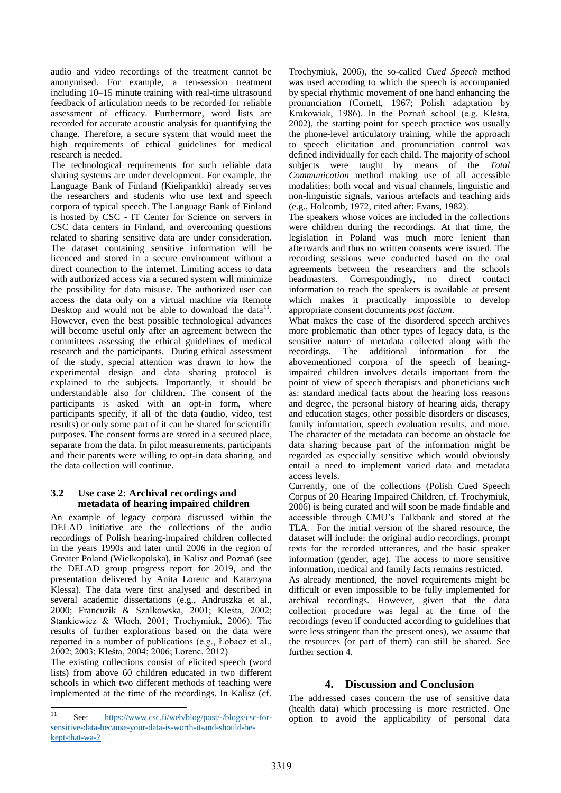audio and video recordings of the treatment cannot be anonymised. For example, a ten-session treatment including 10–15 minute training with real-time ultrasound feedback of articulation needs to be recorded for reliable assessment of efficacy. Furthermore, word lists are recorded for accurate acoustic analysis for quantifying the change. Therefore, a secure system that would meet the high requirements of ethical guidelines for medical research is needed.

The technological requirements for such reliable data sharing systems are under development. For example, the Language Bank of Finland (Kielipankki) already serves the researchers and students who use text and speech corpora of typical speech. The Language Bank of Finland is hosted by CSC - IT Center for Science on servers in CSC data centers in Finland, and overcoming questions related to sharing sensitive data are under consideration. The dataset containing sensitive information will be licenced and stored in a secure environment without a direct connection to the internet. Limiting access to data with authorized access via a secured system will minimize the possibility for data misuse. The authorized user can access the data only on a virtual machine via Remote Desktop and would not be able to download the data $11$ . However, even the best possible technological advances will become useful only after an agreement between the committees assessing the ethical guidelines of medical research and the participants. During ethical assessment of the study, special attention was drawn to how the experimental design and data sharing protocol is explained to the subjects. Importantly, it should be understandable also for children. The consent of the participants is asked with an opt-in form, where participants specify, if all of the data (audio, video, test results) or only some part of it can be shared for scientific purposes. The consent forms are stored in a secured place, separate from the data. In pilot measurements, participants and their parents were willing to opt-in data sharing, and the data collection will continue.

### **3.2 Use case 2: Archival recordings and metadata of hearing impaired children**

An example of legacy corpora discussed within the DELAD initiative are the collections of the audio recordings of Polish hearing-impaired children collected in the years 1990s and later until 2006 in the region of Greater Poland (Wielkopolska), in Kalisz and Poznań (see the DELAD group progress report for 2019, and the presentation delivered by Anita Lorenc and Katarzyna Klessa). The data were first analysed and described in several academic dissertations (e.g., Andruszka et al., 2000; Francuzik & Szalkowska, 2001; Kleśta, 2002; Stankiewicz & Włoch, 2001; Trochymiuk, 2006). The results of further explorations based on the data were reported in a number of publications (e.g., Łobacz et al., 2002; 2003; Kleśta, 2004; 2006; Lorenc, 2012).

The existing collections consist of elicited speech (word lists) from above 60 children educated in two different schools in which two different methods of teaching were implemented at the time of the recordings. In Kalisz (cf.

Trochymiuk, 2006), the so-called *Cued Speech* method was used according to which the speech is accompanied by special rhythmic movement of one hand enhancing the pronunciation (Cornett, 1967; Polish adaptation by Krakowiak, 1986). In the Poznań school (e.g. Kleśta, 2002), the starting point for speech practice was usually the phone-level articulatory training, while the approach to speech elicitation and pronunciation control was defined individually for each child. The majority of school subjects were taught by means of the *Total Communication* method making use of all accessible modalities: both vocal and visual channels, linguistic and non-linguistic signals, various artefacts and teaching aids (e.g., Holcomb, 1972, cited after: Evans, 1982).

The speakers whose voices are included in the collections were children during the recordings. At that time, the legislation in Poland was much more lenient than afterwards and thus no written consents were issued. The recording sessions were conducted based on the oral agreements between the researchers and the schools headmasters. Correspondingly, no direct contact information to reach the speakers is available at present which makes it practically impossible to develop appropriate consent documents *post factum*.

What makes the case of the disordered speech archives more problematic than other types of legacy data, is the sensitive nature of metadata collected along with the recordings. The additional information for the abovementioned corpora of the speech of hearingimpaired children involves details important from the point of view of speech therapists and phoneticians such as: standard medical facts about the hearing loss reasons and degree, the personal history of hearing aids, therapy and education stages, other possible disorders or diseases, family information, speech evaluation results, and more. The character of the metadata can become an obstacle for data sharing because part of the information might be regarded as especially sensitive which would obviously entail a need to implement varied data and metadata access levels.

Currently, one of the collections (Polish Cued Speech Corpus of 20 Hearing Impaired Children, cf. Trochymiuk, 2006) is being curated and will soon be made findable and accessible through CMU's Talkbank and stored at the TLA. For the initial version of the shared resource, the dataset will include: the original audio recordings, prompt texts for the recorded utterances, and the basic speaker information (gender, age). The access to more sensitive information, medical and family facts remains restricted.

As already mentioned, the novel requirements might be difficult or even impossible to be fully implemented for archival recordings. However, given that the data collection procedure was legal at the time of the recordings (even if conducted according to guidelines that were less stringent than the present ones), we assume that the resources (or part of them) can still be shared. See further section 4.

## **4. Discussion and Conclusion**

The addressed cases concern the use of sensitive data (health data) which processing is more restricted. One option to avoid the applicability of personal data

 $11$ See: [https://www.csc.fi/web/blog/post/-/blogs/csc-for](https://www.csc.fi/web/blog/post/-/blogs/csc-for-sensitive-data-because-your-data-is-worth-it-and-should-be-kept-that-wa-2)[sensitive-data-because-your-data-is-worth-it-and-should-be](https://www.csc.fi/web/blog/post/-/blogs/csc-for-sensitive-data-because-your-data-is-worth-it-and-should-be-kept-that-wa-2)[kept-that-wa-2](https://www.csc.fi/web/blog/post/-/blogs/csc-for-sensitive-data-because-your-data-is-worth-it-and-should-be-kept-that-wa-2)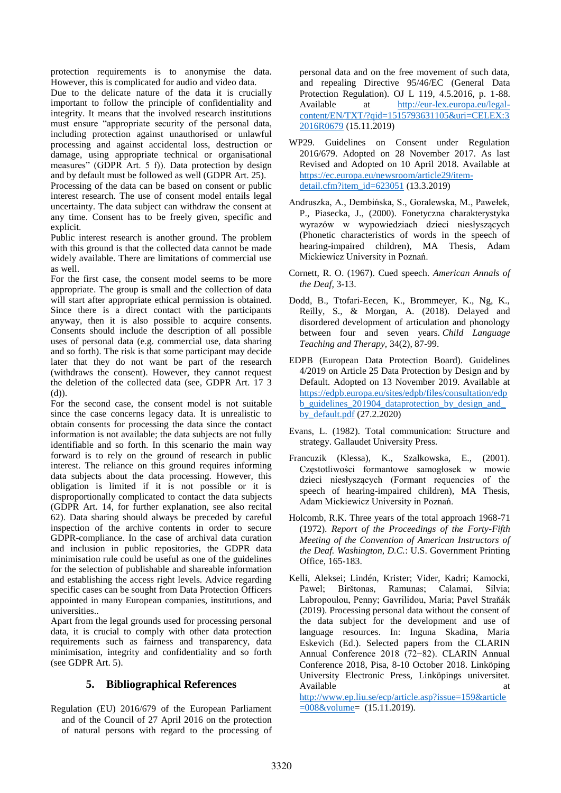protection requirements is to anonymise the data. However, this is complicated for audio and video data.

Due to the delicate nature of the data it is crucially important to follow the principle of confidentiality and integrity. It means that the involved research institutions must ensure "appropriate security of the personal data, including protection against unauthorised or unlawful processing and against accidental loss, destruction or damage, using appropriate technical or organisational measures" (GDPR Art. 5 f)). Data protection by design and by default must be followed as well (GDPR Art. 25).

Processing of the data can be based on consent or public interest research. The use of consent model entails legal uncertainty. The data subject can withdraw the consent at any time. Consent has to be freely given, specific and explicit.

Public interest research is another ground. The problem with this ground is that the collected data cannot be made widely available. There are limitations of commercial use as well.

For the first case, the consent model seems to be more appropriate. The group is small and the collection of data will start after appropriate ethical permission is obtained. Since there is a direct contact with the participants anyway, then it is also possible to acquire consents. Consents should include the description of all possible uses of personal data (e.g. commercial use, data sharing and so forth). The risk is that some participant may decide later that they do not want be part of the research (withdraws the consent). However, they cannot request the deletion of the collected data (see, GDPR Art. 17 3 (d)).

For the second case, the consent model is not suitable since the case concerns legacy data. It is unrealistic to obtain consents for processing the data since the contact information is not available; the data subjects are not fully identifiable and so forth. In this scenario the main way forward is to rely on the ground of research in public interest. The reliance on this ground requires informing data subjects about the data processing. However, this obligation is limited if it is not possible or it is disproportionally complicated to contact the data subjects (GDPR Art. 14, for further explanation, see also recital 62). Data sharing should always be preceded by careful inspection of the archive contents in order to secure GDPR-compliance. In the case of archival data curation and inclusion in public repositories, the GDPR data minimisation rule could be useful as one of the guidelines for the selection of publishable and shareable information and establishing the access right levels. Advice regarding specific cases can be sought from Data Protection Officers appointed in many European companies, institutions, and universities..

Apart from the legal grounds used for processing personal data, it is crucial to comply with other data protection requirements such as fairness and transparency, data minimisation, integrity and confidentiality and so forth (see GDPR Art. 5).

## **5. Bibliographical References**

Regulation (EU) 2016/679 of the European Parliament and of the Council of 27 April 2016 on the protection of natural persons with regard to the processing of personal data and on the free movement of such data, and repealing Directive 95/46/EC (General Data Protection Regulation). OJ L 119, 4.5.2016, p. 1-88. Available at [http://eur-lex.europa.eu/legal](http://eur-lex.europa.eu/legal-content/EN/TXT/?qid=1515793631105&uri=CELEX:32016R0679)[content/EN/TXT/?qid=1515793631105&uri=CELEX:3](http://eur-lex.europa.eu/legal-content/EN/TXT/?qid=1515793631105&uri=CELEX:32016R0679) [2016R0679](http://eur-lex.europa.eu/legal-content/EN/TXT/?qid=1515793631105&uri=CELEX:32016R0679) (15.11.2019)

- WP29. Guidelines on Consent under Regulation 2016/679. Adopted on 28 November 2017. As last Revised and Adopted on 10 April 2018. Available at [https://ec.europa.eu/newsroom/article29/item](https://ec.europa.eu/newsroom/article29/item-detail.cfm?item_id=623051)[detail.cfm?item\\_id=623051](https://ec.europa.eu/newsroom/article29/item-detail.cfm?item_id=623051) (13.3.2019)
- Andruszka, A., Dembińska, S., Goralewska, M., Pawełek, P., Piasecka, J., (2000). Fonetyczna charakterystyka wyrazów w wypowiedziach dzieci niesłyszących (Phonetic characteristics of words in the speech of hearing-impaired children), MA Thesis, Adam Mickiewicz University in Poznań.
- Cornett, R. O. (1967). Cued speech. *American Annals of the Deaf,* 3-13.
- Dodd, B., Ttofari-Eecen, K., Brommeyer, K., Ng, K., Reilly, S., & Morgan, A. (2018). Delayed and disordered development of articulation and phonology between four and seven years. *Child Language Teaching and Therapy,* 34(2), 87-99.
- EDPB (European Data Protection Board). Guidelines 4/2019 on Article 25 Data Protection by Design and by Default. Adopted on 13 November 2019. Available at [https://edpb.europa.eu/sites/edpb/files/consultation/edp](https://edpb.europa.eu/sites/edpb/files/consultation/edpb_guidelines_201904_dataprotection_by_design_and_by_default.pdf) [b\\_guidelines\\_201904\\_dataprotection\\_by\\_design\\_and\\_](https://edpb.europa.eu/sites/edpb/files/consultation/edpb_guidelines_201904_dataprotection_by_design_and_by_default.pdf) by default.pdf  $(27.2.2020)$
- Evans, L. (1982). Total communication: Structure and strategy. Gallaudet University Press.
- Francuzik (Klessa), K., Szalkowska, E., (2001). Częstotliwości formantowe samogłosek w mowie dzieci niesłyszących (Formant requencies of the speech of hearing-impaired children), MA Thesis, Adam Mickiewicz University in Poznań.
- Holcomb, R.K. Three years of the total approach 1968-71 (1972). *Report of the Proceedings of the Forty-Fifth Meeting of the Convention of American Instructors of the Deaf. Washington, D.C.*: U.S. Government Printing Office, 165-183.
- Kelli, Aleksei; Lindén, Krister; Vider, Kadri; Kamocki, Pawel; Birštonas, Ramunas; Calamai, Silvia; Labropoulou, Penny; Gavrilidou, Maria; Pavel Straňák (2019). Processing personal data without the consent of the data subject for the development and use of language resources. In: Inguna Skadina, Maria Eskevich (Ed.). Selected papers from the CLARIN Annual Conference 2018 (72−82). CLARIN Annual Conference 2018, Pisa, 8-10 October 2018. Linköping University Electronic Press, Linköpings universitet. Available at a state of  $\alpha$  at a state of  $\alpha$  at a state of  $\alpha$  at a state of  $\alpha$  at a state of  $\alpha$  at a state of  $\alpha$  at a state of  $\alpha$  at a state of  $\alpha$  at a state of  $\alpha$  at a state of  $\alpha$  at a state of  $\alpha$  at

[http://www.ep.liu.se/ecp/article.asp?issue=159&article](http://www.ep.liu.se/ecp/article.asp?issue=159&article=008&volume) [=008&volume=](http://www.ep.liu.se/ecp/article.asp?issue=159&article=008&volume) (15.11.2019).